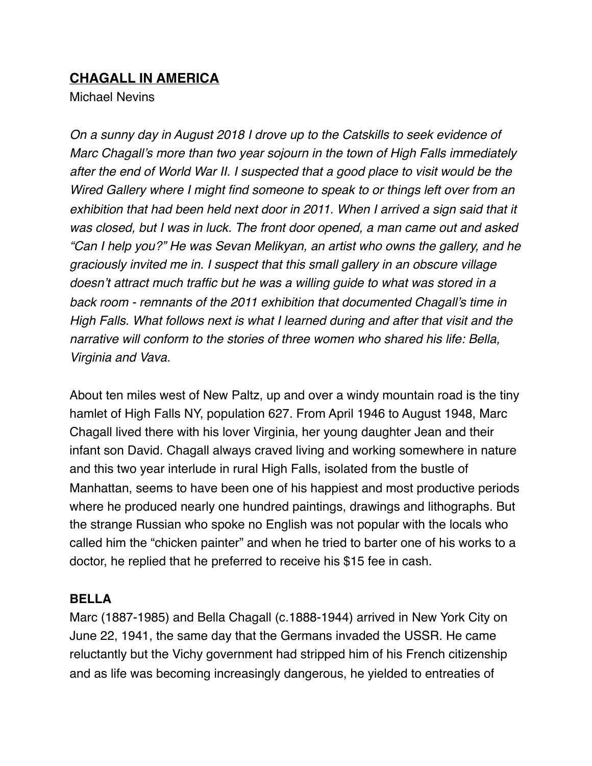# **CHAGALL IN AMERICA**

Michael Nevins

*On a sunny day in August 2018 I drove up to the Catskills to seek evidence of Marc Chagall's more than two year sojourn in the town of High Falls immediately after the end of World War II. I suspected that a good place to visit would be the Wired Gallery where I might find someone to speak to or things left over from an exhibition that had been held next door in 2011. When I arrived a sign said that it was closed, but I was in luck. The front door opened, a man came out and asked "Can I help you?" He was Sevan Melikyan, an artist who owns the gallery, and he graciously invited me in. I suspect that this small gallery in an obscure village doesn't attract much traffic but he was a willing guide to what was stored in a back room - remnants of the 2011 exhibition that documented Chagall's time in High Falls. What follows next is what I learned during and after that visit and the narrative will conform to the stories of three women who shared his life: Bella, Virginia and Vava.*

About ten miles west of New Paltz, up and over a windy mountain road is the tiny hamlet of High Falls NY, population 627. From April 1946 to August 1948, Marc Chagall lived there with his lover Virginia, her young daughter Jean and their infant son David. Chagall always craved living and working somewhere in nature and this two year interlude in rural High Falls, isolated from the bustle of Manhattan, seems to have been one of his happiest and most productive periods where he produced nearly one hundred paintings, drawings and lithographs. But the strange Russian who spoke no English was not popular with the locals who called him the "chicken painter" and when he tried to barter one of his works to a doctor, he replied that he preferred to receive his \$15 fee in cash.

## **BELLA**

Marc (1887-1985) and Bella Chagall (c.1888-1944) arrived in New York City on June 22, 1941, the same day that the Germans invaded the USSR. He came reluctantly but the Vichy government had stripped him of his French citizenship and as life was becoming increasingly dangerous, he yielded to entreaties of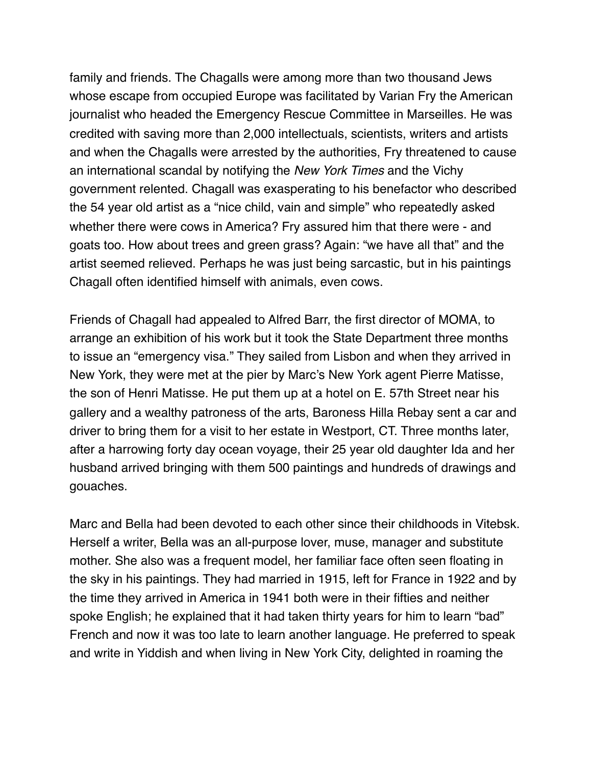family and friends. The Chagalls were among more than two thousand Jews whose escape from occupied Europe was facilitated by Varian Fry the American journalist who headed the Emergency Rescue Committee in Marseilles. He was credited with saving more than 2,000 intellectuals, scientists, writers and artists and when the Chagalls were arrested by the authorities, Fry threatened to cause an international scandal by notifying the *New York Times* and the Vichy government relented. Chagall was exasperating to his benefactor who described the 54 year old artist as a "nice child, vain and simple" who repeatedly asked whether there were cows in America? Fry assured him that there were - and goats too. How about trees and green grass? Again: "we have all that" and the artist seemed relieved. Perhaps he was just being sarcastic, but in his paintings Chagall often identified himself with animals, even cows.

Friends of Chagall had appealed to Alfred Barr, the first director of MOMA, to arrange an exhibition of his work but it took the State Department three months to issue an "emergency visa." They sailed from Lisbon and when they arrived in New York, they were met at the pier by Marc's New York agent Pierre Matisse, the son of Henri Matisse. He put them up at a hotel on E. 57th Street near his gallery and a wealthy patroness of the arts, Baroness Hilla Rebay sent a car and driver to bring them for a visit to her estate in Westport, CT. Three months later, after a harrowing forty day ocean voyage, their 25 year old daughter Ida and her husband arrived bringing with them 500 paintings and hundreds of drawings and gouaches.

Marc and Bella had been devoted to each other since their childhoods in Vitebsk. Herself a writer, Bella was an all-purpose lover, muse, manager and substitute mother. She also was a frequent model, her familiar face often seen floating in the sky in his paintings. They had married in 1915, left for France in 1922 and by the time they arrived in America in 1941 both were in their fifties and neither spoke English; he explained that it had taken thirty years for him to learn "bad" French and now it was too late to learn another language. He preferred to speak and write in Yiddish and when living in New York City, delighted in roaming the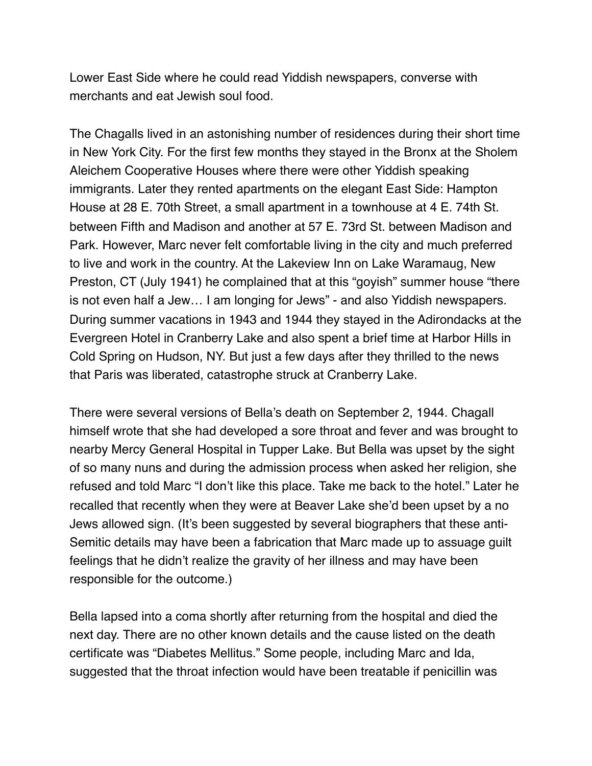Lower East Side where he could read Yiddish newspapers, converse with merchants and eat Jewish soul food.

The Chagalls lived in an astonishing number of residences during their short time in New York City. For the first few months they stayed in the Bronx at the Sholem Aleichem Cooperative Houses where there were other Yiddish speaking immigrants. Later they rented apartments on the elegant East Side: Hampton House at 28 E. 70th Street, a small apartment in a townhouse at 4 E. 74th St. between Fifth and Madison and another at 57 E. 73rd St. between Madison and Park. However, Marc never felt comfortable living in the city and much preferred to live and work in the country. At the Lakeview Inn on Lake Waramaug, New Preston, CT (July 1941) he complained that at this "goyish" summer house "there is not even half a Jew… I am longing for Jews" - and also Yiddish newspapers. During summer vacations in 1943 and 1944 they stayed in the Adirondacks at the Evergreen Hotel in Cranberry Lake and also spent a brief time at Harbor Hills in Cold Spring on Hudson, NY. But just a few days after they thrilled to the news that Paris was liberated, catastrophe struck at Cranberry Lake.

There were several versions of Bella's death on September 2, 1944. Chagall himself wrote that she had developed a sore throat and fever and was brought to nearby Mercy General Hospital in Tupper Lake. But Bella was upset by the sight of so many nuns and during the admission process when asked her religion, she refused and told Marc "I don't like this place. Take me back to the hotel." Later he recalled that recently when they were at Beaver Lake she'd been upset by a no Jews allowed sign. (It's been suggested by several biographers that these anti-Semitic details may have been a fabrication that Marc made up to assuage guilt feelings that he didn't realize the gravity of her illness and may have been responsible for the outcome.)

Bella lapsed into a coma shortly after returning from the hospital and died the next day. There are no other known details and the cause listed on the death certificate was "Diabetes Mellitus." Some people, including Marc and Ida, suggested that the throat infection would have been treatable if penicillin was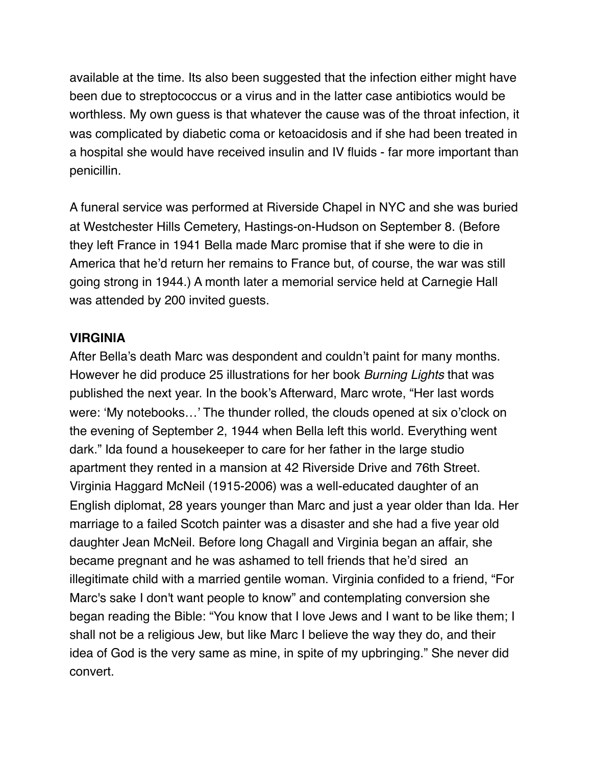available at the time. Its also been suggested that the infection either might have been due to streptococcus or a virus and in the latter case antibiotics would be worthless. My own guess is that whatever the cause was of the throat infection, it was complicated by diabetic coma or ketoacidosis and if she had been treated in a hospital she would have received insulin and IV fluids - far more important than penicillin.

A funeral service was performed at Riverside Chapel in NYC and she was buried at Westchester Hills Cemetery, Hastings-on-Hudson on September 8. (Before they left France in 1941 Bella made Marc promise that if she were to die in America that he'd return her remains to France but, of course, the war was still going strong in 1944.) A month later a memorial service held at Carnegie Hall was attended by 200 invited guests.

#### **VIRGINIA**

After Bella's death Marc was despondent and couldn't paint for many months. However he did produce 25 illustrations for her book *Burning Lights* that was published the next year. In the book's Afterward, Marc wrote, "Her last words were: 'My notebooks…' The thunder rolled, the clouds opened at six o'clock on the evening of September 2, 1944 when Bella left this world. Everything went dark." Ida found a housekeeper to care for her father in the large studio apartment they rented in a mansion at 42 Riverside Drive and 76th Street. Virginia Haggard McNeil (1915-2006) was a well-educated daughter of an English diplomat, 28 years younger than Marc and just a year older than Ida. Her marriage to a failed Scotch painter was a disaster and she had a five year old daughter Jean McNeil. Before long Chagall and Virginia began an affair, she became pregnant and he was ashamed to tell friends that he'd sired an illegitimate child with a married gentile woman. Virginia confided to a friend, "For Marc's sake I don't want people to know" and contemplating conversion she began reading the Bible: "You know that I love Jews and I want to be like them; I shall not be a religious Jew, but like Marc I believe the way they do, and their idea of God is the very same as mine, in spite of my upbringing." She never did convert.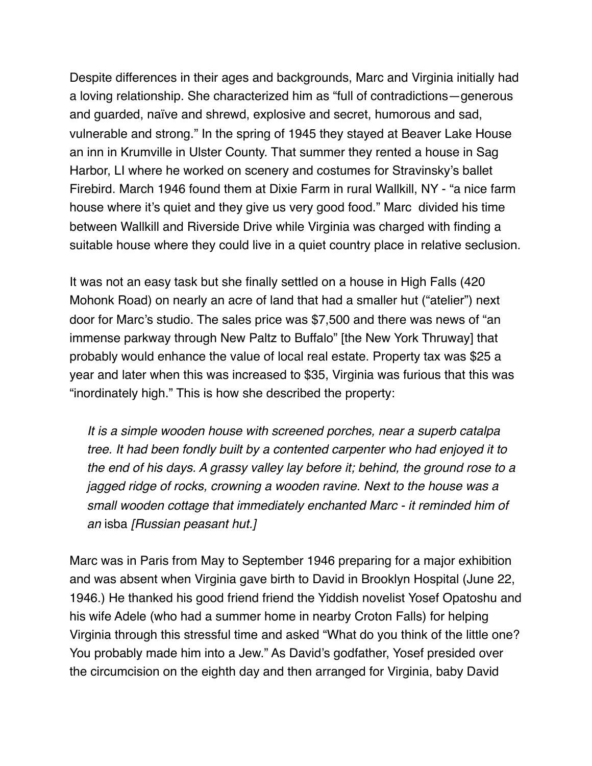Despite differences in their ages and backgrounds, Marc and Virginia initially had a loving relationship. She characterized him as "full of contradictions—generous and guarded, naïve and shrewd, explosive and secret, humorous and sad, vulnerable and strong." In the spring of 1945 they stayed at Beaver Lake House an inn in Krumville in Ulster County. That summer they rented a house in Sag Harbor, LI where he worked on scenery and costumes for Stravinsky's ballet Firebird. March 1946 found them at Dixie Farm in rural Wallkill, NY - "a nice farm house where it's quiet and they give us very good food." Marc divided his time between Wallkill and Riverside Drive while Virginia was charged with finding a suitable house where they could live in a quiet country place in relative seclusion.

It was not an easy task but she finally settled on a house in High Falls (420 Mohonk Road) on nearly an acre of land that had a smaller hut ("atelier") next door for Marc's studio. The sales price was \$7,500 and there was news of "an immense parkway through New Paltz to Buffalo" [the New York Thruway] that probably would enhance the value of local real estate. Property tax was \$25 a year and later when this was increased to \$35, Virginia was furious that this was "inordinately high." This is how she described the property:

 *It is a simple wooden house with screened porches, near a superb catalpa tree. It had been fondly built by a contented carpenter who had enjoyed it to the end of his days. A grassy valley lay before it; behind, the ground rose to a jagged ridge of rocks, crowning a wooden ravine. Next to the house was a small wooden cottage that immediately enchanted Marc - it reminded him of an* isba *[Russian peasant hut.]*

Marc was in Paris from May to September 1946 preparing for a major exhibition and was absent when Virginia gave birth to David in Brooklyn Hospital (June 22, 1946.) He thanked his good friend friend the Yiddish novelist Yosef Opatoshu and his wife Adele (who had a summer home in nearby Croton Falls) for helping Virginia through this stressful time and asked "What do you think of the little one? You probably made him into a Jew." As David's godfather, Yosef presided over the circumcision on the eighth day and then arranged for Virginia, baby David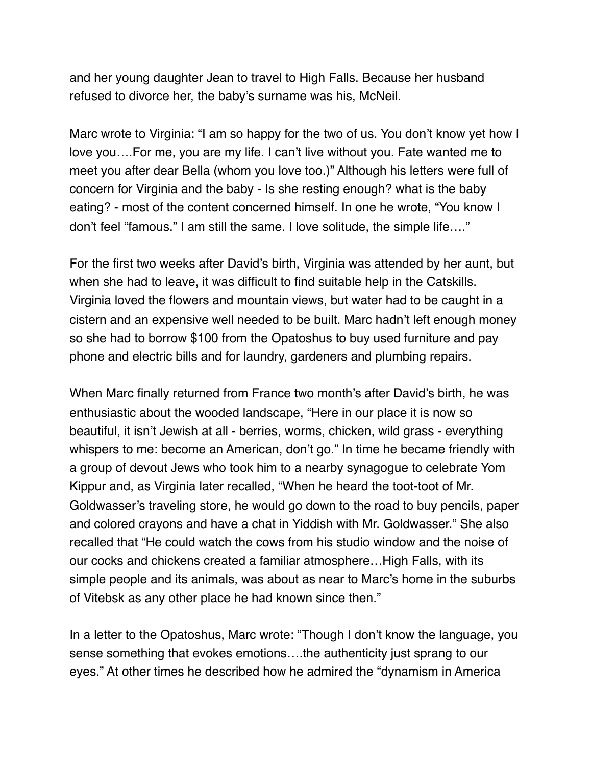and her young daughter Jean to travel to High Falls. Because her husband refused to divorce her, the baby's surname was his, McNeil.

Marc wrote to Virginia: "I am so happy for the two of us. You don't know yet how I love you….For me, you are my life. I can't live without you. Fate wanted me to meet you after dear Bella (whom you love too.)" Although his letters were full of concern for Virginia and the baby - Is she resting enough? what is the baby eating? - most of the content concerned himself. In one he wrote, "You know I don't feel "famous." I am still the same. I love solitude, the simple life…."

For the first two weeks after David's birth, Virginia was attended by her aunt, but when she had to leave, it was difficult to find suitable help in the Catskills. Virginia loved the flowers and mountain views, but water had to be caught in a cistern and an expensive well needed to be built. Marc hadn't left enough money so she had to borrow \$100 from the Opatoshus to buy used furniture and pay phone and electric bills and for laundry, gardeners and plumbing repairs.

When Marc finally returned from France two month's after David's birth, he was enthusiastic about the wooded landscape, "Here in our place it is now so beautiful, it isn't Jewish at all - berries, worms, chicken, wild grass - everything whispers to me: become an American, don't go." In time he became friendly with a group of devout Jews who took him to a nearby synagogue to celebrate Yom Kippur and, as Virginia later recalled, "When he heard the toot-toot of Mr. Goldwasser's traveling store, he would go down to the road to buy pencils, paper and colored crayons and have a chat in Yiddish with Mr. Goldwasser." She also recalled that "He could watch the cows from his studio window and the noise of our cocks and chickens created a familiar atmosphere…High Falls, with its simple people and its animals, was about as near to Marc's home in the suburbs of Vitebsk as any other place he had known since then."

In a letter to the Opatoshus, Marc wrote: "Though I don't know the language, you sense something that evokes emotions….the authenticity just sprang to our eyes." At other times he described how he admired the "dynamism in America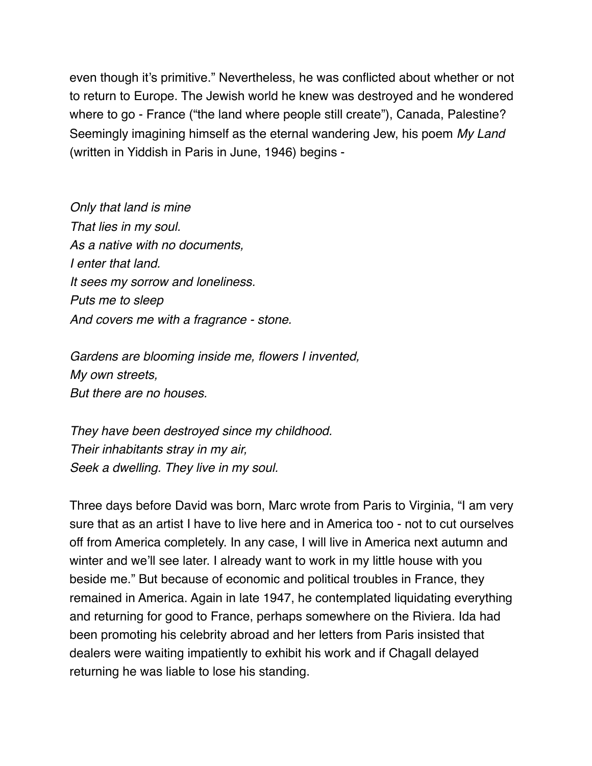even though it's primitive." Nevertheless, he was conflicted about whether or not to return to Europe. The Jewish world he knew was destroyed and he wondered where to go - France ("the land where people still create"), Canada, Palestine? Seemingly imagining himself as the eternal wandering Jew, his poem *My Land*  (written in Yiddish in Paris in June, 1946) begins -

*Only that land is mine That lies in my soul. As a native with no documents, I enter that land. It sees my sorrow and loneliness. Puts me to sleep And covers me with a fragrance - stone.*

*Gardens are blooming inside me, flowers I invented, My own streets, But there are no houses.*

*They have been destroyed since my childhood. Their inhabitants stray in my air, Seek a dwelling. They live in my soul.*

Three days before David was born, Marc wrote from Paris to Virginia, "I am very sure that as an artist I have to live here and in America too - not to cut ourselves off from America completely. In any case, I will live in America next autumn and winter and we'll see later. I already want to work in my little house with you beside me." But because of economic and political troubles in France, they remained in America. Again in late 1947, he contemplated liquidating everything and returning for good to France, perhaps somewhere on the Riviera. Ida had been promoting his celebrity abroad and her letters from Paris insisted that dealers were waiting impatiently to exhibit his work and if Chagall delayed returning he was liable to lose his standing.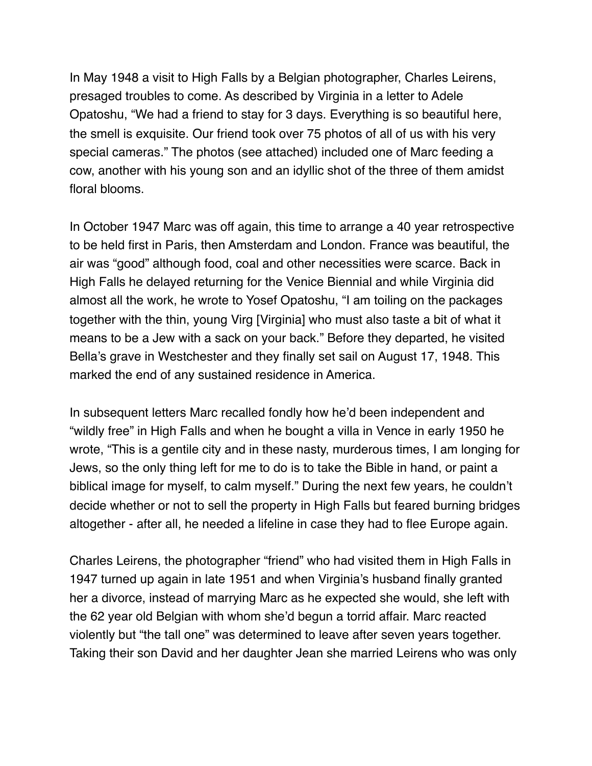In May 1948 a visit to High Falls by a Belgian photographer, Charles Leirens, presaged troubles to come. As described by Virginia in a letter to Adele Opatoshu, "We had a friend to stay for 3 days. Everything is so beautiful here, the smell is exquisite. Our friend took over 75 photos of all of us with his very special cameras." The photos (see attached) included one of Marc feeding a cow, another with his young son and an idyllic shot of the three of them amidst floral blooms.

In October 1947 Marc was off again, this time to arrange a 40 year retrospective to be held first in Paris, then Amsterdam and London. France was beautiful, the air was "good" although food, coal and other necessities were scarce. Back in High Falls he delayed returning for the Venice Biennial and while Virginia did almost all the work, he wrote to Yosef Opatoshu, "I am toiling on the packages together with the thin, young Virg [Virginia] who must also taste a bit of what it means to be a Jew with a sack on your back." Before they departed, he visited Bella's grave in Westchester and they finally set sail on August 17, 1948. This marked the end of any sustained residence in America.

In subsequent letters Marc recalled fondly how he'd been independent and "wildly free" in High Falls and when he bought a villa in Vence in early 1950 he wrote, "This is a gentile city and in these nasty, murderous times, I am longing for Jews, so the only thing left for me to do is to take the Bible in hand, or paint a biblical image for myself, to calm myself." During the next few years, he couldn't decide whether or not to sell the property in High Falls but feared burning bridges altogether - after all, he needed a lifeline in case they had to flee Europe again.

Charles Leirens, the photographer "friend" who had visited them in High Falls in 1947 turned up again in late 1951 and when Virginia's husband finally granted her a divorce, instead of marrying Marc as he expected she would, she left with the 62 year old Belgian with whom she'd begun a torrid affair. Marc reacted violently but "the tall one" was determined to leave after seven years together. Taking their son David and her daughter Jean she married Leirens who was only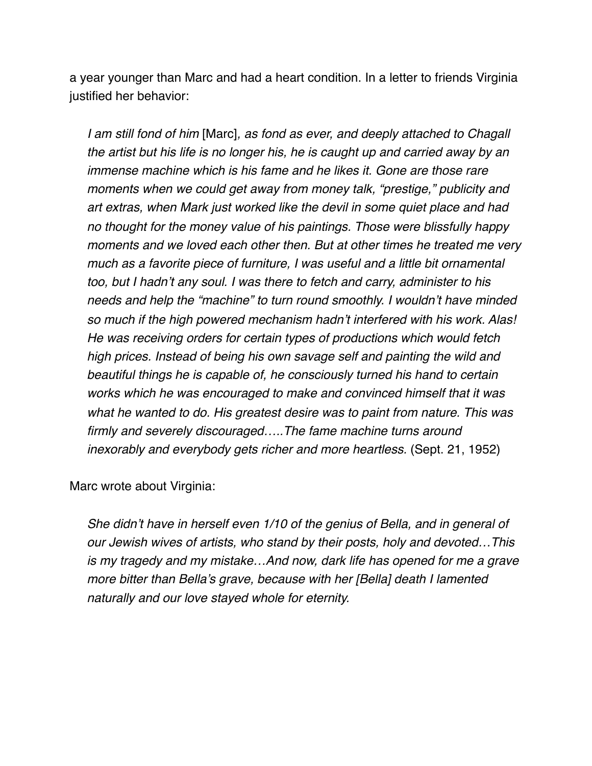a year younger than Marc and had a heart condition. In a letter to friends Virginia justified her behavior:

 *I am still fond of him* [Marc]*, as fond as ever, and deeply attached to Chagall the artist but his life is no longer his, he is caught up and carried away by an immense machine which is his fame and he likes it. Gone are those rare moments when we could get away from money talk, "prestige," publicity and art extras, when Mark just worked like the devil in some quiet place and had no thought for the money value of his paintings. Those were blissfully happy moments and we loved each other then. But at other times he treated me very much as a favorite piece of furniture, I was useful and a little bit ornamental too, but I hadn't any soul. I was there to fetch and carry, administer to his needs and help the "machine" to turn round smoothly. I wouldn't have minded so much if the high powered mechanism hadn't interfered with his work. Alas! He was receiving orders for certain types of productions which would fetch high prices. Instead of being his own savage self and painting the wild and beautiful things he is capable of, he consciously turned his hand to certain works which he was encouraged to make and convinced himself that it was what he wanted to do. His greatest desire was to paint from nature. This was firmly and severely discouraged…..The fame machine turns around inexorably and everybody gets richer and more heartless.* (Sept. 21, 1952)

Marc wrote about Virginia:

 *She didn't have in herself even 1/10 of the genius of Bella, and in general of our Jewish wives of artists, who stand by their posts, holy and devoted…This is my tragedy and my mistake…And now, dark life has opened for me a grave more bitter than Bella's grave, because with her [Bella] death I lamented naturally and our love stayed whole for eternity.*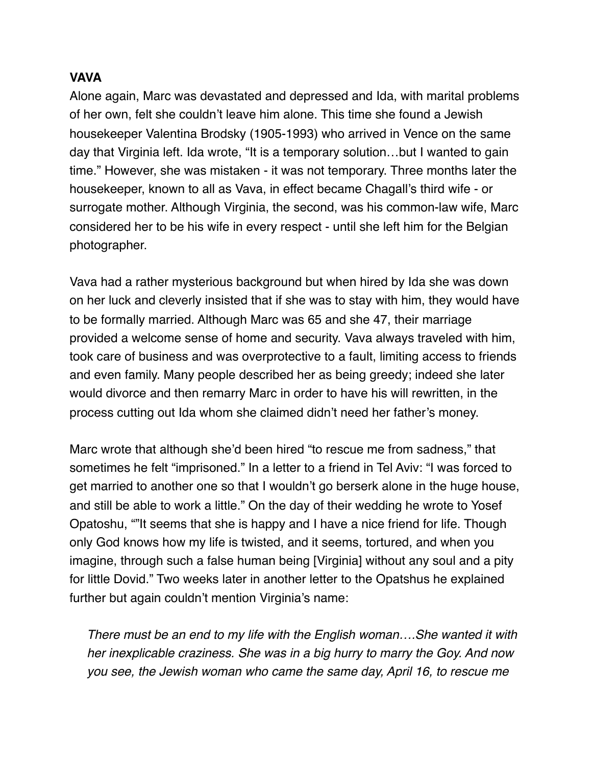### **VAVA**

Alone again, Marc was devastated and depressed and Ida, with marital problems of her own, felt she couldn't leave him alone. This time she found a Jewish housekeeper Valentina Brodsky (1905-1993) who arrived in Vence on the same day that Virginia left. Ida wrote, "It is a temporary solution…but I wanted to gain time." However, she was mistaken - it was not temporary. Three months later the housekeeper, known to all as Vava, in effect became Chagall's third wife - or surrogate mother. Although Virginia, the second, was his common-law wife, Marc considered her to be his wife in every respect - until she left him for the Belgian photographer.

Vava had a rather mysterious background but when hired by Ida she was down on her luck and cleverly insisted that if she was to stay with him, they would have to be formally married. Although Marc was 65 and she 47, their marriage provided a welcome sense of home and security. Vava always traveled with him, took care of business and was overprotective to a fault, limiting access to friends and even family. Many people described her as being greedy; indeed she later would divorce and then remarry Marc in order to have his will rewritten, in the process cutting out Ida whom she claimed didn't need her father's money.

Marc wrote that although she'd been hired "to rescue me from sadness," that sometimes he felt "imprisoned." In a letter to a friend in Tel Aviv: "I was forced to get married to another one so that I wouldn't go berserk alone in the huge house, and still be able to work a little." On the day of their wedding he wrote to Yosef Opatoshu, ""It seems that she is happy and I have a nice friend for life. Though only God knows how my life is twisted, and it seems, tortured, and when you imagine, through such a false human being [Virginia] without any soul and a pity for little Dovid." Two weeks later in another letter to the Opatshus he explained further but again couldn't mention Virginia's name:

 *There must be an end to my life with the English woman….She wanted it with her inexplicable craziness. She was in a big hurry to marry the Goy. And now you see, the Jewish woman who came the same day, April 16, to rescue me*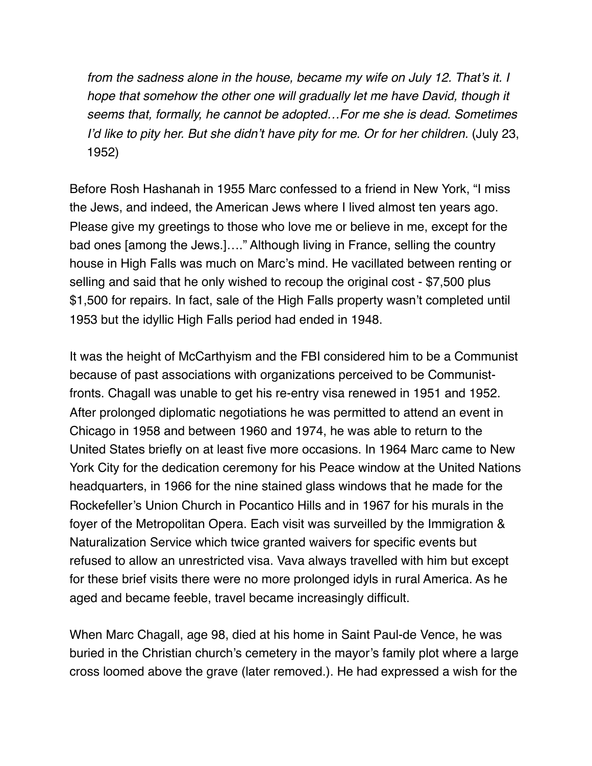*from the sadness alone in the house, became my wife on July 12. That's it. I hope that somehow the other one will gradually let me have David, though it seems that, formally, he cannot be adopted…For me she is dead. Sometimes I'd like to pity her. But she didn't have pity for me. Or for her children.* (July 23, 1952)

Before Rosh Hashanah in 1955 Marc confessed to a friend in New York, "I miss the Jews, and indeed, the American Jews where I lived almost ten years ago. Please give my greetings to those who love me or believe in me, except for the bad ones [among the Jews.]…." Although living in France, selling the country house in High Falls was much on Marc's mind. He vacillated between renting or selling and said that he only wished to recoup the original cost - \$7,500 plus \$1,500 for repairs. In fact, sale of the High Falls property wasn't completed until 1953 but the idyllic High Falls period had ended in 1948.

It was the height of McCarthyism and the FBI considered him to be a Communist because of past associations with organizations perceived to be Communistfronts. Chagall was unable to get his re-entry visa renewed in 1951 and 1952. After prolonged diplomatic negotiations he was permitted to attend an event in Chicago in 1958 and between 1960 and 1974, he was able to return to the United States briefly on at least five more occasions. In 1964 Marc came to New York City for the dedication ceremony for his Peace window at the United Nations headquarters, in 1966 for the nine stained glass windows that he made for the Rockefeller's Union Church in Pocantico Hills and in 1967 for his murals in the foyer of the Metropolitan Opera. Each visit was surveilled by the Immigration & Naturalization Service which twice granted waivers for specific events but refused to allow an unrestricted visa. Vava always travelled with him but except for these brief visits there were no more prolonged idyls in rural America. As he aged and became feeble, travel became increasingly difficult.

When Marc Chagall, age 98, died at his home in Saint Paul-de Vence, he was buried in the Christian church's cemetery in the mayor's family plot where a large cross loomed above the grave (later removed.). He had expressed a wish for the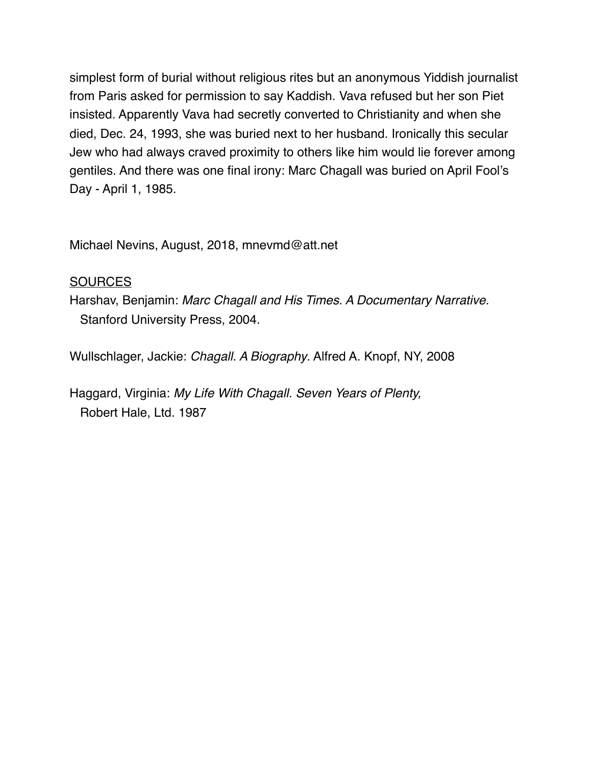simplest form of burial without religious rites but an anonymous Yiddish journalist from Paris asked for permission to say Kaddish. Vava refused but her son Piet insisted. Apparently Vava had secretly converted to Christianity and when she died, Dec. 24, 1993, she was buried next to her husband. Ironically this secular Jew who had always craved proximity to others like him would lie forever among gentiles. And there was one final irony: Marc Chagall was buried on April Fool's Day - April 1, 1985.

Michael Nevins, August, 2018, mnevmd@att.net

## **SOURCES**

Harshav, Benjamin: *Marc Chagall and His Times. A Documentary Narrative.* Stanford University Press, 2004.

Wullschlager, Jackie: *Chagall. A Biography*. Alfred A. Knopf, NY, 2008

Haggard, Virginia: *My Life With Chagall. Seven Years of Plenty,* Robert Hale, Ltd. 1987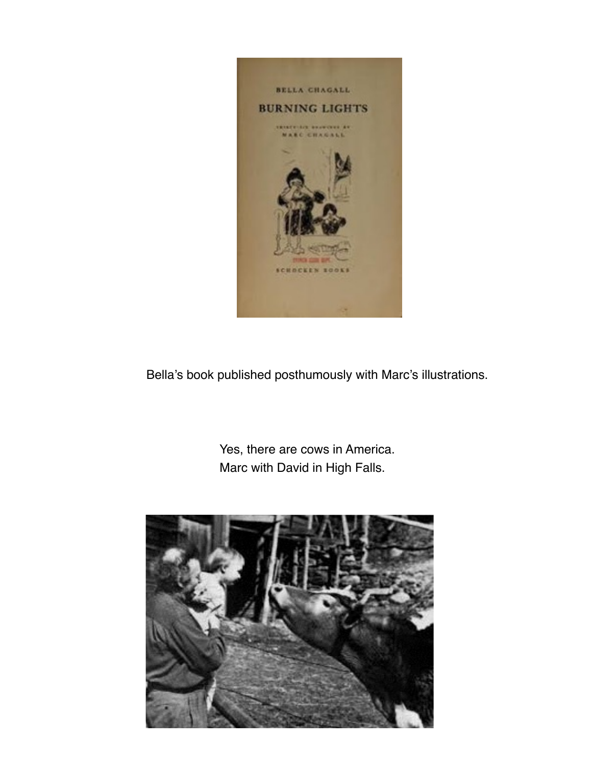

Bella's book published posthumously with Marc's illustrations.

 Yes, there are cows in America. Marc with David in High Falls.

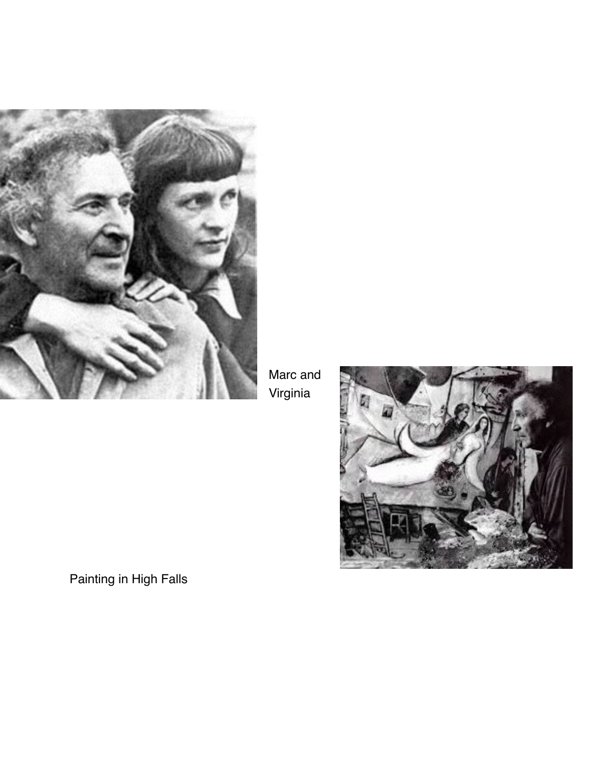

Marc and Virginia



Painting in High Falls